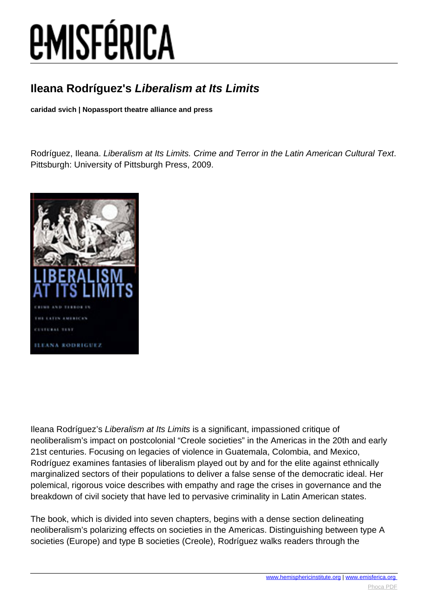# *EMISFÉRICA*

#### **Ileana Rodríguez's Liberalism at Its Limits**

**caridad svich | Nopassport theatre alliance and press**

Rodríguez, Ileana. Liberalism at Its Limits. Crime and Terror in the Latin American Cultural Text. Pittsburgh: University of Pittsburgh Press, 2009.



Ileana Rodríguez's Liberalism at Its Limits is a significant, impassioned critique of neoliberalism's impact on postcolonial "Creole societies" in the Americas in the 20th and early 21st centuries. Focusing on legacies of violence in Guatemala, Colombia, and Mexico, Rodríguez examines fantasies of liberalism played out by and for the elite against ethnically marginalized sectors of their populations to deliver a false sense of the democratic ideal. Her polemical, rigorous voice describes with empathy and rage the crises in governance and the breakdown of civil society that have led to pervasive criminality in Latin American states.

The book, which is divided into seven chapters, begins with a dense section delineating neoliberalism's polarizing effects on societies in the Americas. Distinguishing between type A societies (Europe) and type B societies (Creole), Rodríguez walks readers through the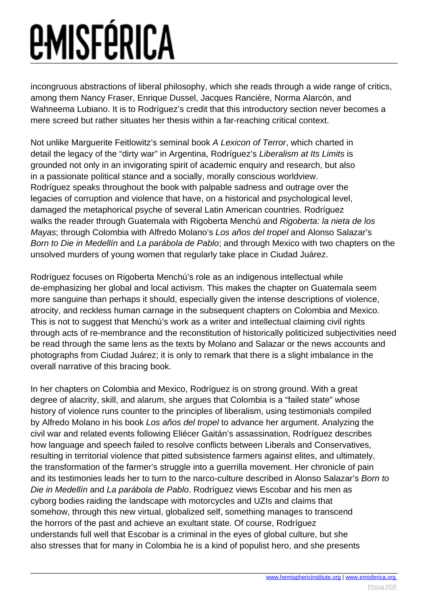## *<u>EMISFÉRICA</u>*

incongruous abstractions of liberal philosophy, which she reads through a wide range of critics, among them Nancy Fraser, Enrique Dussel, Jacques Rancière, Norma Alarcón, and Wahneema Lubiano. It is to Rodríguez's credit that this introductory section never becomes a mere screed but rather situates her thesis within a far-reaching critical context.

Not unlike Marguerite Feitlowitz's seminal book A Lexicon of Terror, which charted in detail the legacy of the "dirty war" in Argentina, Rodríguez's Liberalism at Its Limits is grounded not only in an invigorating spirit of academic enquiry and research, but also in a passionate political stance and a socially, morally conscious worldview. Rodríguez speaks throughout the book with palpable sadness and outrage over the legacies of corruption and violence that have, on a historical and psychological level, damaged the metaphorical psyche of several Latin American countries. Rodríguez walks the reader through Guatemala with Rigoberta Menchú and Rigoberta: la nieta de los Mayas; through Colombia with Alfredo Molano's Los años del tropel and Alonso Salazar's Born to Die in Medellín and La parábola de Pablo; and through Mexico with two chapters on the unsolved murders of young women that regularly take place in Ciudad Juárez.

Rodríguez focuses on Rigoberta Menchú's role as an indigenous intellectual while de-emphasizing her global and local activism. This makes the chapter on Guatemala seem more sanguine than perhaps it should, especially given the intense descriptions of violence, atrocity, and reckless human carnage in the subsequent chapters on Colombia and Mexico. This is not to suggest that Menchú's work as a writer and intellectual claiming civil rights through acts of re-membrance and the reconstitution of historically politicized subjectivities need be read through the same lens as the texts by Molano and Salazar or the news accounts and photographs from Ciudad Juárez; it is only to remark that there is a slight imbalance in the overall narrative of this bracing book.

In her chapters on Colombia and Mexico, Rodríguez is on strong ground. With a great degree of alacrity, skill, and alarum, she argues that Colombia is a "failed state" whose history of violence runs counter to the principles of liberalism, using testimonials compiled by Alfredo Molano in his book Los años del tropel to advance her argument. Analyzing the civil war and related events following Eliécer Gaitán's assassination, Rodríguez describes how language and speech failed to resolve conflicts between Liberals and Conservatives, resulting in territorial violence that pitted subsistence farmers against elites, and ultimately, the transformation of the farmer's struggle into a guerrilla movement. Her chronicle of pain and its testimonies leads her to turn to the narco-culture described in Alonso Salazar's Born to Die in Medellín and La parábola de Pablo. Rodríguez views Escobar and his men as cyborg bodies raiding the landscape with motorcycles and UZIs and claims that somehow, through this new virtual, globalized self, something manages to transcend the horrors of the past and achieve an exultant state. Of course, Rodríguez understands full well that Escobar is a criminal in the eyes of global culture, but she also stresses that for many in Colombia he is a kind of populist hero, and she presents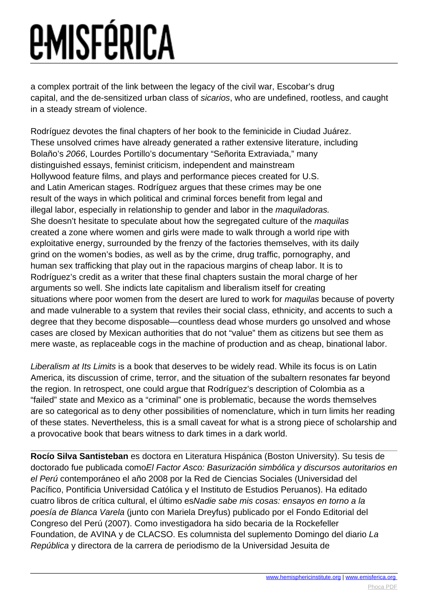## *<u>EMISFÉRICA</u>*

a complex portrait of the link between the legacy of the civil war, Escobar's drug capital, and the de-sensitized urban class of sicarios, who are undefined, rootless, and caught in a steady stream of violence.

Rodríguez devotes the final chapters of her book to the feminicide in Ciudad Juárez. These unsolved crimes have already generated a rather extensive literature, including Bolaño's 2066, Lourdes Portillo's documentary "Señorita Extraviada," many distinguished essays, feminist criticism, independent and mainstream Hollywood feature films, and plays and performance pieces created for U.S. and Latin American stages. Rodríguez argues that these crimes may be one result of the ways in which political and criminal forces benefit from legal and illegal labor, especially in relationship to gender and labor in the maquiladoras. She doesn't hesitate to speculate about how the segregated culture of the *maquilas* created a zone where women and girls were made to walk through a world ripe with exploitative energy, surrounded by the frenzy of the factories themselves, with its daily grind on the women's bodies, as well as by the crime, drug traffic, pornography, and human sex trafficking that play out in the rapacious margins of cheap labor. It is to Rodríguez's credit as a writer that these final chapters sustain the moral charge of her arguments so well. She indicts late capitalism and liberalism itself for creating situations where poor women from the desert are lured to work for *maquilas* because of poverty and made vulnerable to a system that reviles their social class, ethnicity, and accents to such a degree that they become disposable—countless dead whose murders go unsolved and whose cases are closed by Mexican authorities that do not "value" them as citizens but see them as mere waste, as replaceable cogs in the machine of production and as cheap, binational labor.

Liberalism at Its Limits is a book that deserves to be widely read. While its focus is on Latin America, its discussion of crime, terror, and the situation of the subaltern resonates far beyond the region. In retrospect, one could argue that Rodríguez's description of Colombia as a "failed" state and Mexico as a "criminal" one is problematic, because the words themselves are so categorical as to deny other possibilities of nomenclature, which in turn limits her reading of these states. Nevertheless, this is a small caveat for what is a strong piece of scholarship and a provocative book that bears witness to dark times in a dark world.

**Rocío Silva Santisteban** es doctora en Literatura Hispánica (Boston University). Su tesis de doctorado fue publicada comoEl Factor Asco: Basurización simbólica y discursos autoritarios en el Perú contemporáneo el año 2008 por la Red de Ciencias Sociales (Universidad del Pacífico, Pontificia Universidad Católica y el Instituto de Estudios Peruanos). Ha editado cuatro libros de crítica cultural, el último esNadie sabe mis cosas: ensayos en torno a la poesía de Blanca Varela (junto con Mariela Dreyfus) publicado por el Fondo Editorial del Congreso del Perú (2007). Como investigadora ha sido becaria de la Rockefeller Foundation, de AVINA y de CLACSO. Es columnista del suplemento Domingo del diario La República y directora de la carrera de periodismo de la Universidad Jesuita de